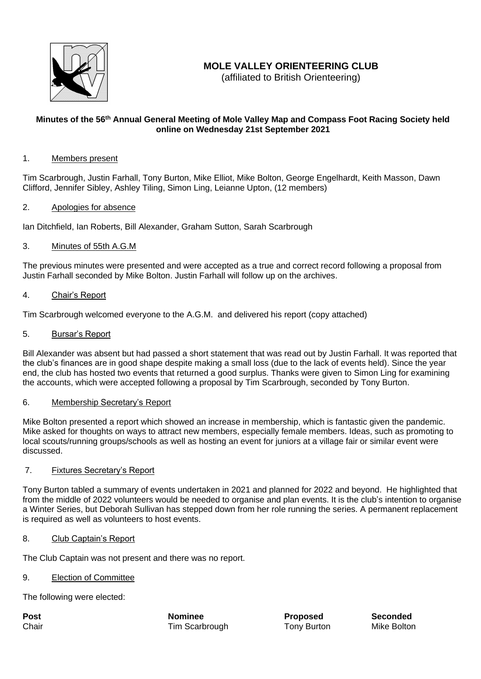

# **MOLE VALLEY ORIENTEERING CLUB**

(affiliated to British Orienteering)

# **Minutes of the 56 th Annual General Meeting of Mole Valley Map and Compass Foot Racing Society held online on Wednesday 21st September 2021**

# 1. Members present

Tim Scarbrough, Justin Farhall, Tony Burton, Mike Elliot, Mike Bolton, George Engelhardt, Keith Masson, Dawn Clifford, Jennifer Sibley, Ashley Tiling, Simon Ling, Leianne Upton, (12 members)

## 2. Apologies for absence

Ian Ditchfield, Ian Roberts, Bill Alexander, Graham Sutton, Sarah Scarbrough

# 3. Minutes of 55th A.G.M

The previous minutes were presented and were accepted as a true and correct record following a proposal from Justin Farhall seconded by Mike Bolton. Justin Farhall will follow up on the archives.

## 4. Chair's Report

Tim Scarbrough welcomed everyone to the A.G.M. and delivered his report (copy attached)

## 5. Bursar's Report

Bill Alexander was absent but had passed a short statement that was read out by Justin Farhall. It was reported that the club's finances are in good shape despite making a small loss (due to the lack of events held). Since the year end, the club has hosted two events that returned a good surplus. Thanks were given to Simon Ling for examining the accounts, which were accepted following a proposal by Tim Scarbrough, seconded by Tony Burton.

#### 6. Membership Secretary's Report

Mike Bolton presented a report which showed an increase in membership, which is fantastic given the pandemic. Mike asked for thoughts on ways to attract new members, especially female members. Ideas, such as promoting to local scouts/running groups/schools as well as hosting an event for juniors at a village fair or similar event were discussed.

#### 7. Fixtures Secretary's Report

Tony Burton tabled a summary of events undertaken in 2021 and planned for 2022 and beyond. He highlighted that from the middle of 2022 volunteers would be needed to organise and plan events. It is the club's intention to organise a Winter Series, but Deborah Sullivan has stepped down from her role running the series. A permanent replacement is required as well as volunteers to host events.

#### 8. Club Captain's Report

The Club Captain was not present and there was no report.

# 9. Election of Committee

The following were elected:

**Post Nominee Proposed Seconded** Chair **Tim Scarbrough Tony Burton** Mike Bolton Mike Bolton